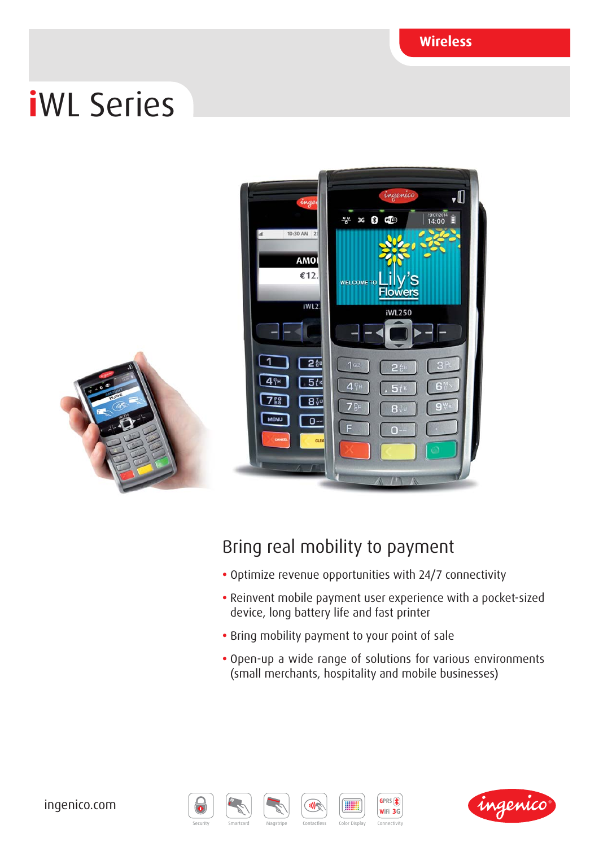**Wireless**

# **i**WL Series



### Bring real mobility to payment

- Optimize revenue opportunities with 24/7 connectivity
- Reinvent mobile payment user experience with a pocket-sized device, long battery life and fast printer
- Bring mobility payment to your point of sale
- Open-up a wide range of solutions for various environments (small merchants, hospitality and mobile businesses)